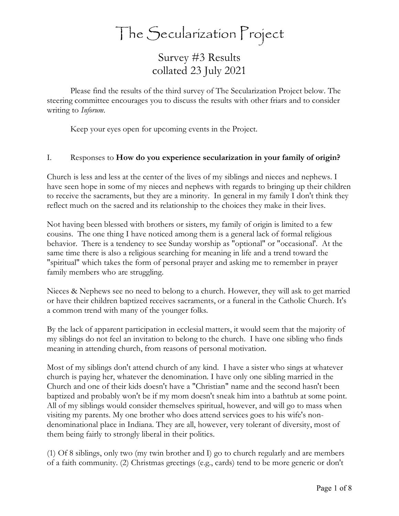The Secularization Project

Survey #3 Results collated 23 July 2021

Please find the results of the third survey of The Secularization Project below. The steering committee encourages you to discuss the results with other friars and to consider writing to *Inforum*.

Keep your eyes open for upcoming events in the Project.

## I. Responses to **How do you experience secularization in your family of origin?**

Church is less and less at the center of the lives of my siblings and nieces and nephews. I have seen hope in some of my nieces and nephews with regards to bringing up their children to receive the sacraments, but they are a minority. In general in my family I don't think they reflect much on the sacred and its relationship to the choices they make in their lives.

Not having been blessed with brothers or sisters, my family of origin is limited to a few cousins. The one thing I have noticed among them is a general lack of formal religious behavior. There is a tendency to see Sunday worship as "optional" or "occasional'. At the same time there is also a religious searching for meaning in life and a trend toward the "spiritual" which takes the form of personal prayer and asking me to remember in prayer family members who are struggling.

Nieces & Nephews see no need to belong to a church. However, they will ask to get married or have their children baptized receives sacraments, or a funeral in the Catholic Church. It's a common trend with many of the younger folks.

By the lack of apparent participation in ecclesial matters, it would seem that the majority of my siblings do not feel an invitation to belong to the church. I have one sibling who finds meaning in attending church, from reasons of personal motivation.

Most of my siblings don't attend church of any kind. I have a sister who sings at whatever church is paying her, whatever the denomination. I have only one sibling married in the Church and one of their kids doesn't have a "Christian" name and the second hasn't been baptized and probably won't be if my mom doesn't sneak him into a bathtub at some point. All of my siblings would consider themselves spiritual, however, and will go to mass when visiting my parents. My one brother who does attend services goes to his wife's nondenominational place in Indiana. They are all, however, very tolerant of diversity, most of them being fairly to strongly liberal in their politics.

(1) Of 8 siblings, only two (my twin brother and I) go to church regularly and are members of a faith community. (2) Christmas greetings (e.g., cards) tend to be more generic or don't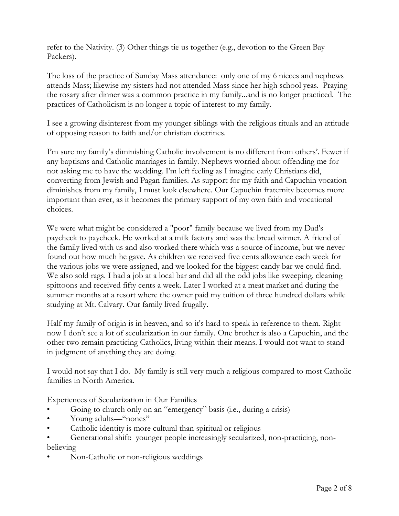refer to the Nativity. (3) Other things tie us together (e.g., devotion to the Green Bay Packers).

The loss of the practice of Sunday Mass attendance: only one of my 6 nieces and nephews attends Mass; likewise my sisters had not attended Mass since her high school yeas. Praying the rosary after dinner was a common practice in my family...and is no longer practiced. The practices of Catholicism is no longer a topic of interest to my family.

I see a growing disinterest from my younger siblings with the religious rituals and an attitude of opposing reason to faith and/or christian doctrines.

I'm sure my family's diminishing Catholic involvement is no different from others'. Fewer if any baptisms and Catholic marriages in family. Nephews worried about offending me for not asking me to have the wedding. I'm left feeling as I imagine early Christians did, converting from Jewish and Pagan families. As support for my faith and Capuchin vocation diminishes from my family, I must look elsewhere. Our Capuchin fraternity becomes more important than ever, as it becomes the primary support of my own faith and vocational choices.

We were what might be considered a "poor" family because we lived from my Dad's paycheck to paycheck. He worked at a milk factory and was the bread winner. A friend of the family lived with us and also worked there which was a source of income, but we never found out how much he gave. As children we received five cents allowance each week for the various jobs we were assigned, and we looked for the biggest candy bar we could find. We also sold rags. I had a job at a local bar and did all the odd jobs like sweeping, cleaning spittoons and received fifty cents a week. Later I worked at a meat market and during the summer months at a resort where the owner paid my tuition of three hundred dollars while studying at Mt. Calvary. Our family lived frugally.

Half my family of origin is in heaven, and so it's hard to speak in reference to them. Right now I don't see a lot of secularization in our family. One brother is also a Capuchin, and the other two remain practicing Catholics, living within their means. I would not want to stand in judgment of anything they are doing.

I would not say that I do. My family is still very much a religious compared to most Catholic families in North America.

Experiences of Secularization in Our Families

- Going to church only on an "emergency" basis (i.e., during a crisis)
- Young adults—"nones"
- Catholic identity is more cultural than spiritual or religious
- Generational shift: younger people increasingly secularized, non-practicing, nonbelieving
- Non-Catholic or non-religious weddings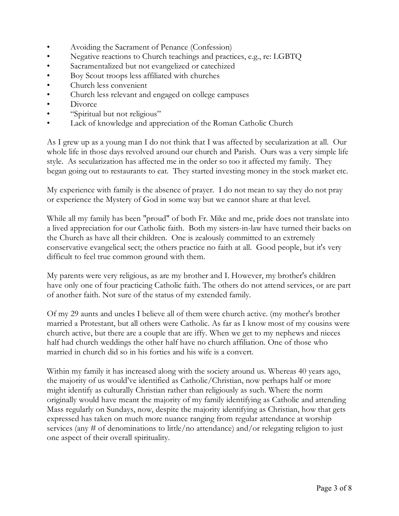- Avoiding the Sacrament of Penance (Confession)
- Negative reactions to Church teachings and practices, e.g., re: LGBTQ
- Sacramentalized but not evangelized or catechized
- Boy Scout troops less affiliated with churches
- Church less convenient
- Church less relevant and engaged on college campuses
- Divorce
- "Spiritual but not religious"
- Lack of knowledge and appreciation of the Roman Catholic Church

As I grew up as a young man I do not think that I was affected by secularization at all. Our whole life in those days revolved around our church and Parish. Ours was a very simple life style. As secularization has affected me in the order so too it affected my family. They began going out to restaurants to eat. They started investing money in the stock market etc.

My experience with family is the absence of prayer. I do not mean to say they do not pray or experience the Mystery of God in some way but we cannot share at that level.

While all my family has been "proud" of both Fr. Mike and me, pride does not translate into a lived appreciation for our Catholic faith. Both my sisters-in-law have turned their backs on the Church as have all their children. One is zealously committed to an extremely conservative evangelical sect; the others practice no faith at all. Good people, but it's very difficult to feel true common ground with them.

My parents were very religious, as are my brother and I. However, my brother's children have only one of four practicing Catholic faith. The others do not attend services, or are part of another faith. Not sure of the status of my extended family.

Of my 29 aunts and uncles I believe all of them were church active. (my mother's brother married a Protestant, but all others were Catholic. As far as I know most of my cousins were church active, but there are a couple that are iffy. When we get to my nephews and nieces half had church weddings the other half have no church affiliation. One of those who married in church did so in his forties and his wife is a convert.

Within my family it has increased along with the society around us. Whereas 40 years ago, the majority of us would've identified as Catholic/Christian, now perhaps half or more might identify as culturally Christian rather than religiously as such. Where the norm originally would have meant the majority of my family identifying as Catholic and attending Mass regularly on Sundays, now, despite the majority identifying as Christian, how that gets expressed has taken on much more nuance ranging from regular attendance at worship services (any # of denominations to little/no attendance) and/or relegating religion to just one aspect of their overall spirituality.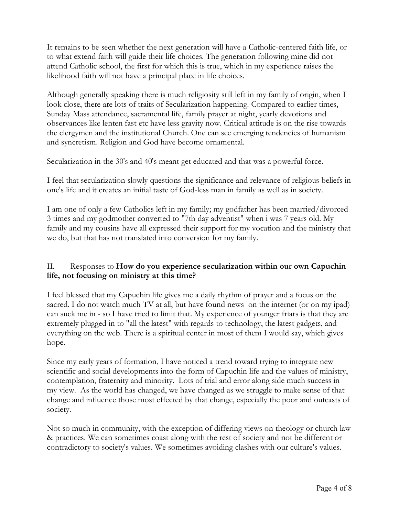It remains to be seen whether the next generation will have a Catholic-centered faith life, or to what extend faith will guide their life choices. The generation following mine did not attend Catholic school, the first for which this is true, which in my experience raises the likelihood faith will not have a principal place in life choices.

Although generally speaking there is much religiosity still left in my family of origin, when I look close, there are lots of traits of Secularization happening. Compared to earlier times, Sunday Mass attendance, sacramental life, family prayer at night, yearly devotions and observances like lenten fast etc have less gravity now. Critical attitude is on the rise towards the clergymen and the institutional Church. One can see emerging tendencies of humanism and syncretism. Religion and God have become ornamental.

Secularization in the 30's and 40's meant get educated and that was a powerful force.

I feel that secularization slowly questions the significance and relevance of religious beliefs in one's life and it creates an initial taste of God-less man in family as well as in society.

I am one of only a few Catholics left in my family; my godfather has been married/divorced 3 times and my godmother converted to "7th day adventist" when i was 7 years old. My family and my cousins have all expressed their support for my vocation and the ministry that we do, but that has not translated into conversion for my family.

## II. Responses to **How do you experience secularization within our own Capuchin life, not focusing on ministry at this time?**

I feel blessed that my Capuchin life gives me a daily rhythm of prayer and a focus on the sacred. I do not watch much TV at all, but have found news on the internet (or on my ipad) can suck me in - so I have tried to limit that. My experience of younger friars is that they are extremely plugged in to "all the latest" with regards to technology, the latest gadgets, and everything on the web. There is a spiritual center in most of them I would say, which gives hope.

Since my early years of formation, I have noticed a trend toward trying to integrate new scientific and social developments into the form of Capuchin life and the values of ministry, contemplation, fraternity and minority. Lots of trial and error along side much success in my view. As the world has changed, we have changed as we struggle to make sense of that change and influence those most effected by that change, especially the poor and outcasts of society.

Not so much in community, with the exception of differing views on theology or church law & practices. We can sometimes coast along with the rest of society and not be different or contradictory to society's values. We sometimes avoiding clashes with our culture's values.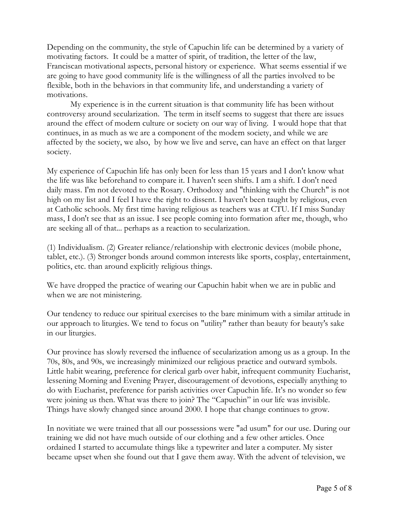Depending on the community, the style of Capuchin life can be determined by a variety of motivating factors. It could be a matter of spirit, of tradition, the letter of the law, Franciscan motivational aspects, personal history or experience. What seems essential if we are going to have good community life is the willingness of all the parties involved to be flexible, both in the behaviors in that community life, and understanding a variety of motivations.

My experience is in the current situation is that community life has been without controversy around secularization. The term in itself seems to suggest that there are issues around the effect of modern culture or society on our way of living. I would hope that that continues, in as much as we are a component of the modern society, and while we are affected by the society, we also, by how we live and serve, can have an effect on that larger society.

My experience of Capuchin life has only been for less than 15 years and I don't know what the life was like beforehand to compare it. I haven't seen shifts. I am a shift. I don't need daily mass. I'm not devoted to the Rosary. Orthodoxy and "thinking with the Church" is not high on my list and I feel I have the right to dissent. I haven't been taught by religious, even at Catholic schools. My first time having religious as teachers was at CTU. If I miss Sunday mass, I don't see that as an issue. I see people coming into formation after me, though, who are seeking all of that... perhaps as a reaction to secularization.

(1) Individualism. (2) Greater reliance/relationship with electronic devices (mobile phone, tablet, etc.). (3) Stronger bonds around common interests like sports, cosplay, entertainment, politics, etc. than around explicitly religious things.

We have dropped the practice of wearing our Capuchin habit when we are in public and when we are not ministering.

Our tendency to reduce our spiritual exercises to the bare minimum with a similar attitude in our approach to liturgies. We tend to focus on "utility" rather than beauty for beauty's sake in our liturgies.

Our province has slowly reversed the influence of secularization among us as a group. In the 70s, 80s, and 90s, we increasingly minimized our religious practice and outward symbols. Little habit wearing, preference for clerical garb over habit, infrequent community Eucharist, lessening Morning and Evening Prayer, discouragement of devotions, especially anything to do with Eucharist, preference for parish activities over Capuchin life. It's no wonder so few were joining us then. What was there to join? The "Capuchin" in our life was invisible. Things have slowly changed since around 2000. I hope that change continues to grow.

In novitiate we were trained that all our possessions were "ad usum" for our use. During our training we did not have much outside of our clothing and a few other articles. Once ordained I started to accumulate things like a typewriter and later a computer. My sister became upset when she found out that I gave them away. With the advent of television, we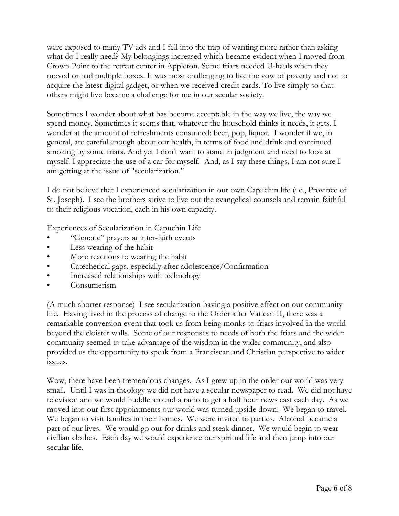were exposed to many TV ads and I fell into the trap of wanting more rather than asking what do I really need? My belongings increased which became evident when I moved from Crown Point to the retreat center in Appleton. Some friars needed U-hauls when they moved or had multiple boxes. It was most challenging to live the vow of poverty and not to acquire the latest digital gadget, or when we received credit cards. To live simply so that others might live became a challenge for me in our secular society.

Sometimes I wonder about what has become acceptable in the way we live, the way we spend money. Sometimes it seems that, whatever the household thinks it needs, it gets. I wonder at the amount of refreshments consumed: beer, pop, liquor. I wonder if we, in general, are careful enough about our health, in terms of food and drink and continued smoking by some friars. And yet I don't want to stand in judgment and need to look at myself. I appreciate the use of a car for myself. And, as I say these things, I am not sure I am getting at the issue of "secularization."

I do not believe that I experienced secularization in our own Capuchin life (i.e., Province of St. Joseph). I see the brothers strive to live out the evangelical counsels and remain faithful to their religious vocation, each in his own capacity.

Experiences of Secularization in Capuchin Life

- "Generic" prayers at inter-faith events
- Less wearing of the habit
- More reactions to wearing the habit
- Catechetical gaps, especially after adolescence/Confirmation
- Increased relationships with technology
- Consumerism

(A much shorter response) I see secularization having a positive effect on our community life. Having lived in the process of change to the Order after Vatican II, there was a remarkable conversion event that took us from being monks to friars involved in the world beyond the cloister walls. Some of our responses to needs of both the friars and the wider community seemed to take advantage of the wisdom in the wider community, and also provided us the opportunity to speak from a Franciscan and Christian perspective to wider issues.

Wow, there have been tremendous changes. As I grew up in the order our world was very small. Until I was in theology we did not have a secular newspaper to read. We did not have television and we would huddle around a radio to get a half hour news cast each day. As we moved into our first appointments our world was turned upside down. We began to travel. We began to visit families in their homes. We were invited to parties. Alcohol became a part of our lives. We would go out for drinks and steak dinner. We would begin to wear civilian clothes. Each day we would experience our spiritual life and then jump into our secular life.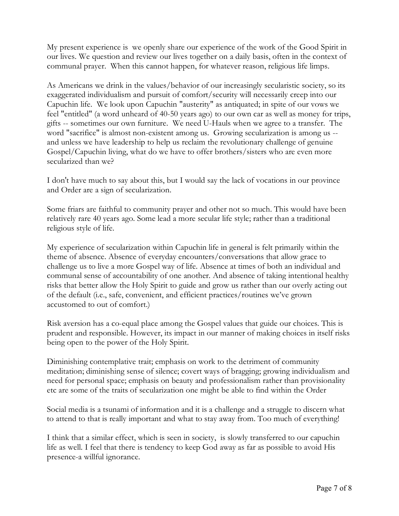My present experience is we openly share our experience of the work of the Good Spirit in our lives. We question and review our lives together on a daily basis, often in the context of communal prayer. When this cannot happen, for whatever reason, religious life limps.

As Americans we drink in the values/behavior of our increasingly secularistic society, so its exaggerated individualism and pursuit of comfort/security will necessarily creep into our Capuchin life. We look upon Capuchin "austerity" as antiquated; in spite of our vows we feel "entitled" (a word unheard of 40-50 years ago) to our own car as well as money for trips, gifts -- sometimes our own furniture. We need U-Hauls when we agree to a transfer. The word "sacrifice" is almost non-existent among us. Growing secularization is among us - and unless we have leadership to help us reclaim the revolutionary challenge of genuine Gospel/Capuchin living, what do we have to offer brothers/sisters who are even more secularized than we?

I don't have much to say about this, but I would say the lack of vocations in our province and Order are a sign of secularization.

Some friars are faithful to community prayer and other not so much. This would have been relatively rare 40 years ago. Some lead a more secular life style; rather than a traditional religious style of life.

My experience of secularization within Capuchin life in general is felt primarily within the theme of absence. Absence of everyday encounters/conversations that allow grace to challenge us to live a more Gospel way of life. Absence at times of both an individual and communal sense of accountability of one another. And absence of taking intentional healthy risks that better allow the Holy Spirit to guide and grow us rather than our overly acting out of the default (i.e., safe, convenient, and efficient practices/routines we've grown accustomed to out of comfort.)

Risk aversion has a co-equal place among the Gospel values that guide our choices. This is prudent and responsible. However, its impact in our manner of making choices in itself risks being open to the power of the Holy Spirit.

Diminishing contemplative trait; emphasis on work to the detriment of community meditation; diminishing sense of silence; covert ways of bragging; growing individualism and need for personal space; emphasis on beauty and professionalism rather than provisionality etc are some of the traits of secularization one might be able to find within the Order

Social media is a tsunami of information and it is a challenge and a struggle to discern what to attend to that is really important and what to stay away from. Too much of everything!

I think that a similar effect, which is seen in society, is slowly transferred to our capuchin life as well. I feel that there is tendency to keep God away as far as possible to avoid His presence-a willful ignorance.